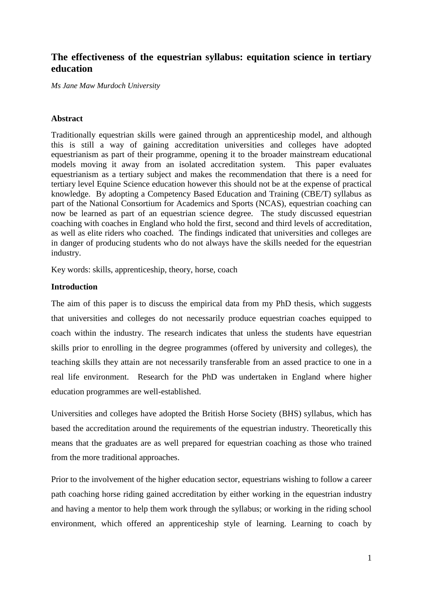## **The effectiveness of the equestrian syllabus: equitation science in tertiary education**

*Ms Jane Maw Murdoch University*

## **Abstract**

Traditionally equestrian skills were gained through an apprenticeship model, and although this is still a way of gaining accreditation universities and colleges have adopted equestrianism as part of their programme, opening it to the broader mainstream educational models moving it away from an isolated accreditation system. This paper evaluates equestrianism as a tertiary subject and makes the recommendation that there is a need for tertiary level Equine Science education however this should not be at the expense of practical knowledge. By adopting a Competency Based Education and Training (CBE/T) syllabus as part of the National Consortium for Academics and Sports (NCAS), equestrian coaching can now be learned as part of an equestrian science degree. The study discussed equestrian coaching with coaches in England who hold the first, second and third levels of accreditation, as well as elite riders who coached. The findings indicated that universities and colleges are in danger of producing students who do not always have the skills needed for the equestrian industry.

Key words: skills, apprenticeship, theory, horse, coach

### **Introduction**

The aim of this paper is to discuss the empirical data from my PhD thesis, which suggests that universities and colleges do not necessarily produce equestrian coaches equipped to coach within the industry. The research indicates that unless the students have equestrian skills prior to enrolling in the degree programmes (offered by university and colleges), the teaching skills they attain are not necessarily transferable from an assed practice to one in a real life environment. Research for the PhD was undertaken in England where higher education programmes are well-established.

Universities and colleges have adopted the British Horse Society (BHS) syllabus, which has based the accreditation around the requirements of the equestrian industry. Theoretically this means that the graduates are as well prepared for equestrian coaching as those who trained from the more traditional approaches.

Prior to the involvement of the higher education sector, equestrians wishing to follow a career path coaching horse riding gained accreditation by either working in the equestrian industry and having a mentor to help them work through the syllabus; or working in the riding school environment, which offered an apprenticeship style of learning. Learning to coach by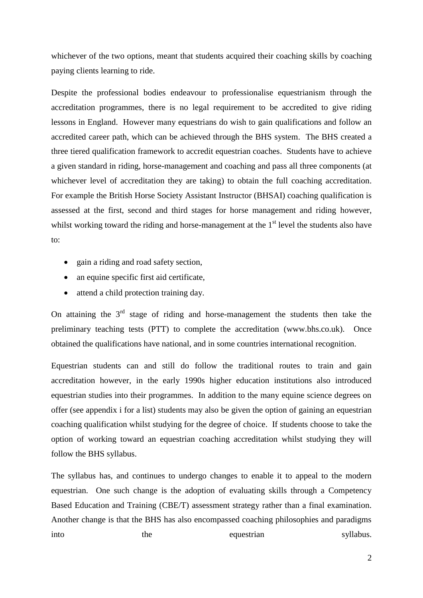whichever of the two options, meant that students acquired their coaching skills by coaching paying clients learning to ride.

Despite the professional bodies endeavour to professionalise equestrianism through the accreditation programmes, there is no legal requirement to be accredited to give riding lessons in England. However many equestrians do wish to gain qualifications and follow an accredited career path, which can be achieved through the BHS system. The BHS created a three tiered qualification framework to accredit equestrian coaches. Students have to achieve a given standard in riding, horse-management and coaching and pass all three components (at whichever level of accreditation they are taking) to obtain the full coaching accreditation. For example the British Horse Society Assistant Instructor (BHSAI) coaching qualification is assessed at the first, second and third stages for horse management and riding however, whilst working toward the riding and horse-management at the  $1<sup>st</sup>$  level the students also have to:

- gain a riding and road safety section,
- an equine specific first aid certificate,
- attend a child protection training day.

On attaining the  $3<sup>rd</sup>$  stage of riding and horse-management the students then take the preliminary teaching tests (PTT) to complete the accreditation (www.bhs.co.uk). Once obtained the qualifications have national, and in some countries international recognition.

Equestrian students can and still do follow the traditional routes to train and gain accreditation however, in the early 1990s higher education institutions also introduced equestrian studies into their programmes. In addition to the many equine science degrees on offer (see appendix i for a list) students may also be given the option of gaining an equestrian coaching qualification whilst studying for the degree of choice. If students choose to take the option of working toward an equestrian coaching accreditation whilst studying they will follow the BHS syllabus.

The syllabus has, and continues to undergo changes to enable it to appeal to the modern equestrian. One such change is the adoption of evaluating skills through a Competency Based Education and Training (CBE/T) assessment strategy rather than a final examination. Another change is that the BHS has also encompassed coaching philosophies and paradigms into the equestrian syllabus.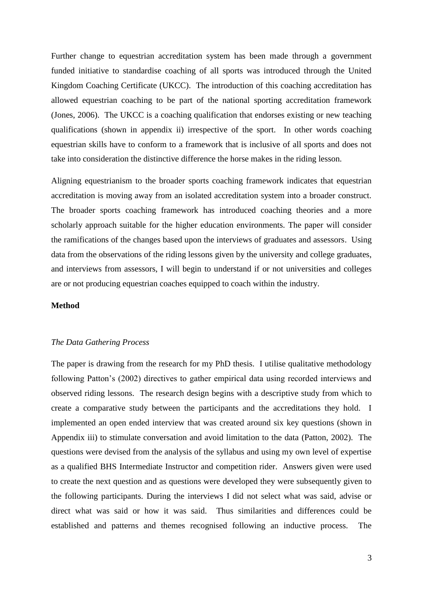Further change to equestrian accreditation system has been made through a government funded initiative to standardise coaching of all sports was introduced through the United Kingdom Coaching Certificate (UKCC). The introduction of this coaching accreditation has allowed equestrian coaching to be part of the national sporting accreditation framework (Jones, 2006). The UKCC is a coaching qualification that endorses existing or new teaching qualifications (shown in appendix ii) irrespective of the sport. In other words coaching equestrian skills have to conform to a framework that is inclusive of all sports and does not take into consideration the distinctive difference the horse makes in the riding lesson.

Aligning equestrianism to the broader sports coaching framework indicates that equestrian accreditation is moving away from an isolated accreditation system into a broader construct. The broader sports coaching framework has introduced coaching theories and a more scholarly approach suitable for the higher education environments. The paper will consider the ramifications of the changes based upon the interviews of graduates and assessors. Using data from the observations of the riding lessons given by the university and college graduates, and interviews from assessors, I will begin to understand if or not universities and colleges are or not producing equestrian coaches equipped to coach within the industry.

### **Method**

#### *The Data Gathering Process*

The paper is drawing from the research for my PhD thesis. I utilise qualitative methodology following Patton's (2002) directives to gather empirical data using recorded interviews and observed riding lessons. The research design begins with a descriptive study from which to create a comparative study between the participants and the accreditations they hold. I implemented an open ended interview that was created around six key questions (shown in Appendix iii) to stimulate conversation and avoid limitation to the data (Patton, 2002). The questions were devised from the analysis of the syllabus and using my own level of expertise as a qualified BHS Intermediate Instructor and competition rider. Answers given were used to create the next question and as questions were developed they were subsequently given to the following participants. During the interviews I did not select what was said, advise or direct what was said or how it was said. Thus similarities and differences could be established and patterns and themes recognised following an inductive process. The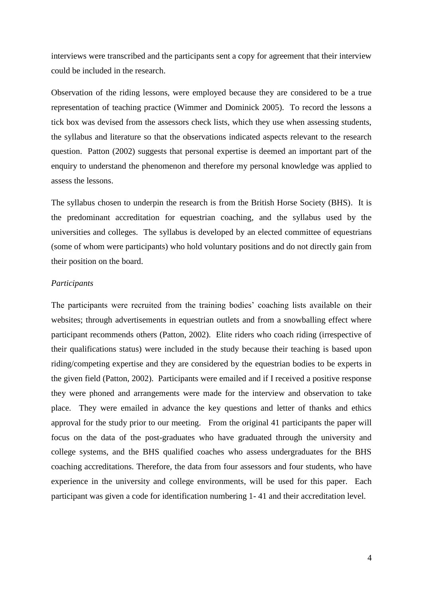interviews were transcribed and the participants sent a copy for agreement that their interview could be included in the research.

Observation of the riding lessons, were employed because they are considered to be a true representation of teaching practice (Wimmer and Dominick 2005). To record the lessons a tick box was devised from the assessors check lists, which they use when assessing students, the syllabus and literature so that the observations indicated aspects relevant to the research question. Patton (2002) suggests that personal expertise is deemed an important part of the enquiry to understand the phenomenon and therefore my personal knowledge was applied to assess the lessons.

The syllabus chosen to underpin the research is from the British Horse Society (BHS). It is the predominant accreditation for equestrian coaching, and the syllabus used by the universities and colleges. The syllabus is developed by an elected committee of equestrians (some of whom were participants) who hold voluntary positions and do not directly gain from their position on the board.

### *Participants*

The participants were recruited from the training bodies' coaching lists available on their websites; through advertisements in equestrian outlets and from a snowballing effect where participant recommends others (Patton, 2002). Elite riders who coach riding (irrespective of their qualifications status) were included in the study because their teaching is based upon riding/competing expertise and they are considered by the equestrian bodies to be experts in the given field (Patton, 2002). Participants were emailed and if I received a positive response they were phoned and arrangements were made for the interview and observation to take place. They were emailed in advance the key questions and letter of thanks and ethics approval for the study prior to our meeting. From the original 41 participants the paper will focus on the data of the post-graduates who have graduated through the university and college systems, and the BHS qualified coaches who assess undergraduates for the BHS coaching accreditations. Therefore, the data from four assessors and four students, who have experience in the university and college environments, will be used for this paper. Each participant was given a code for identification numbering 1- 41 and their accreditation level.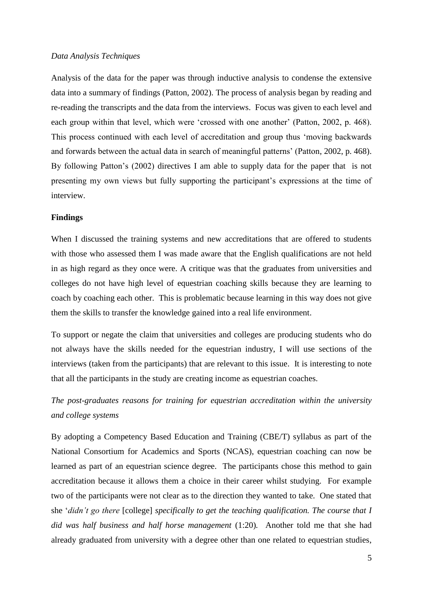### *Data Analysis Techniques*

Analysis of the data for the paper was through inductive analysis to condense the extensive data into a summary of findings (Patton, 2002). The process of analysis began by reading and re-reading the transcripts and the data from the interviews. Focus was given to each level and each group within that level, which were 'crossed with one another' (Patton, 2002, p. 468). This process continued with each level of accreditation and group thus 'moving backwards and forwards between the actual data in search of meaningful patterns' (Patton, 2002, p. 468). By following Patton's (2002) directives I am able to supply data for the paper that is not presenting my own views but fully supporting the participant's expressions at the time of interview.

### **Findings**

When I discussed the training systems and new accreditations that are offered to students with those who assessed them I was made aware that the English qualifications are not held in as high regard as they once were. A critique was that the graduates from universities and colleges do not have high level of equestrian coaching skills because they are learning to coach by coaching each other. This is problematic because learning in this way does not give them the skills to transfer the knowledge gained into a real life environment.

To support or negate the claim that universities and colleges are producing students who do not always have the skills needed for the equestrian industry, I will use sections of the interviews (taken from the participants) that are relevant to this issue. It is interesting to note that all the participants in the study are creating income as equestrian coaches.

# *The post-graduates reasons for training for equestrian accreditation within the university and college systems*

By adopting a Competency Based Education and Training (CBE/T) syllabus as part of the National Consortium for Academics and Sports (NCAS), equestrian coaching can now be learned as part of an equestrian science degree. The participants chose this method to gain accreditation because it allows them a choice in their career whilst studying. For example two of the participants were not clear as to the direction they wanted to take. One stated that she '*didn't go there* [college] *specifically to get the teaching qualification. The course that I did was half business and half horse management* (1:20)*.* Another told me that she had already graduated from university with a degree other than one related to equestrian studies,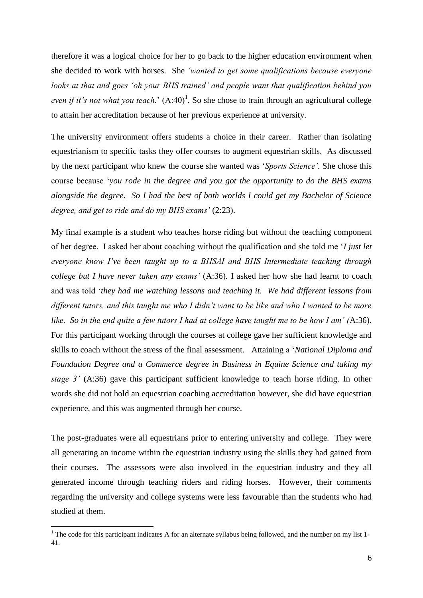therefore it was a logical choice for her to go back to the higher education environment when she decided to work with horses. She *'wanted to get some qualifications because everyone looks at that and goes 'oh your BHS trained' and people want that qualification behind you even if it's not what you teach.*'  $(A:40)^1$ . So she chose to train through an agricultural college to attain her accreditation because of her previous experience at university.

The university environment offers students a choice in their career. Rather than isolating equestrianism to specific tasks they offer courses to augment equestrian skills. As discussed by the next participant who knew the course she wanted was '*Sports Science'.* She chose this course because '*you rode in the degree and you got the opportunity to do the BHS exams alongside the degree. So I had the best of both worlds I could get my Bachelor of Science degree, and get to ride and do my BHS exams'* (2:23).

My final example is a student who teaches horse riding but without the teaching component of her degree. I asked her about coaching without the qualification and she told me '*I just let everyone know I've been taught up to a BHSAI and BHS Intermediate teaching through college but I have never taken any exams'* (A:36)*.* I asked her how she had learnt to coach and was told '*they had me watching lessons and teaching it. We had different lessons from different tutors, and this taught me who I didn't want to be like and who I wanted to be more like. So in the end quite a few tutors I had at college have taught me to be how I am' (*A:36). For this participant working through the courses at college gave her sufficient knowledge and skills to coach without the stress of the final assessment. Attaining a '*National Diploma and Foundation Degree and a Commerce degree in Business in Equine Science and taking my stage 3'* (A:36) gave this participant sufficient knowledge to teach horse riding. In other words she did not hold an equestrian coaching accreditation however, she did have equestrian experience, and this was augmented through her course.

The post-graduates were all equestrians prior to entering university and college. They were all generating an income within the equestrian industry using the skills they had gained from their courses. The assessors were also involved in the equestrian industry and they all generated income through teaching riders and riding horses. However, their comments regarding the university and college systems were less favourable than the students who had studied at them.

1

<sup>&</sup>lt;sup>1</sup> The code for this participant indicates A for an alternate syllabus being followed, and the number on my list 1-41.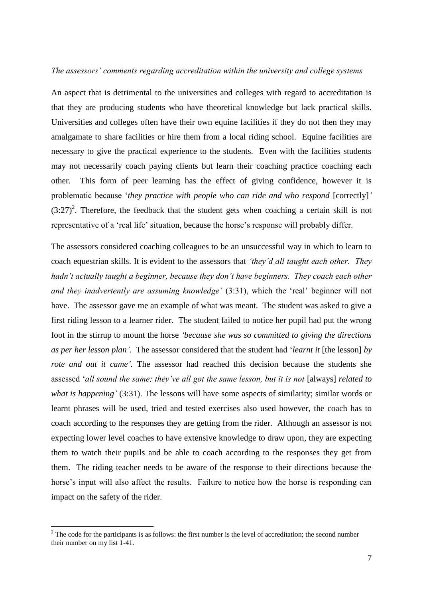#### *The assessors' comments regarding accreditation within the university and college systems*

An aspect that is detrimental to the universities and colleges with regard to accreditation is that they are producing students who have theoretical knowledge but lack practical skills. Universities and colleges often have their own equine facilities if they do not then they may amalgamate to share facilities or hire them from a local riding school. Equine facilities are necessary to give the practical experience to the students. Even with the facilities students may not necessarily coach paying clients but learn their coaching practice coaching each other. This form of peer learning has the effect of giving confidence, however it is problematic because '*they practice with people who can ride and who respond* [correctly]*'*   $(3:27)^2$ . Therefore, the feedback that the student gets when coaching a certain skill is not representative of a 'real life' situation, because the horse's response will probably differ.

The assessors considered coaching colleagues to be an unsuccessful way in which to learn to coach equestrian skills. It is evident to the assessors that *'they'd all taught each other. They hadn't actually taught a beginner, because they don't have beginners. They coach each other and they inadvertently are assuming knowledge'* (3:31), which the 'real' beginner will not have. The assessor gave me an example of what was meant. The student was asked to give a first riding lesson to a learner rider. The student failed to notice her pupil had put the wrong foot in the stirrup to mount the horse *'because she was so committed to giving the directions as per her lesson plan'.* The assessor considered that the student had '*learnt it* [the lesson] *by rote and out it came'.* The assessor had reached this decision because the students she assessed '*all sound the same; they've all got the same lesson, but it is not* [always] *related to what is happening'* (3:31). The lessons will have some aspects of similarity; similar words or learnt phrases will be used, tried and tested exercises also used however, the coach has to coach according to the responses they are getting from the rider. Although an assessor is not expecting lower level coaches to have extensive knowledge to draw upon, they are expecting them to watch their pupils and be able to coach according to the responses they get from them. The riding teacher needs to be aware of the response to their directions because the horse's input will also affect the results. Failure to notice how the horse is responding can impact on the safety of the rider.

1

 $2$ <sup>2</sup> The code for the participants is as follows: the first number is the level of accreditation; the second number their number on my list 1-41.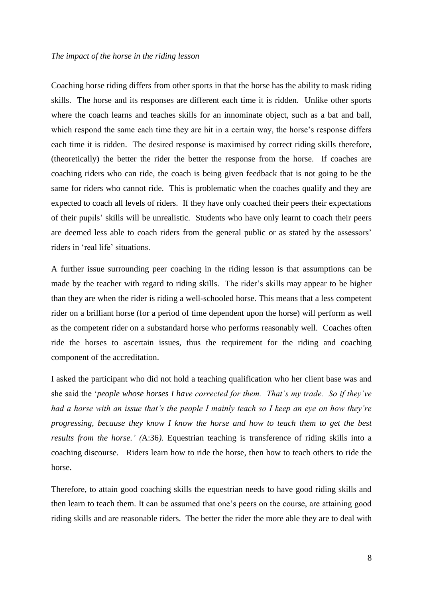#### *The impact of the horse in the riding lesson*

Coaching horse riding differs from other sports in that the horse has the ability to mask riding skills. The horse and its responses are different each time it is ridden. Unlike other sports where the coach learns and teaches skills for an innominate object, such as a bat and ball, which respond the same each time they are hit in a certain way, the horse's response differs each time it is ridden. The desired response is maximised by correct riding skills therefore, (theoretically) the better the rider the better the response from the horse. If coaches are coaching riders who can ride, the coach is being given feedback that is not going to be the same for riders who cannot ride. This is problematic when the coaches qualify and they are expected to coach all levels of riders. If they have only coached their peers their expectations of their pupils' skills will be unrealistic. Students who have only learnt to coach their peers are deemed less able to coach riders from the general public or as stated by the assessors' riders in 'real life' situations.

A further issue surrounding peer coaching in the riding lesson is that assumptions can be made by the teacher with regard to riding skills. The rider's skills may appear to be higher than they are when the rider is riding a well-schooled horse. This means that a less competent rider on a brilliant horse (for a period of time dependent upon the horse) will perform as well as the competent rider on a substandard horse who performs reasonably well. Coaches often ride the horses to ascertain issues, thus the requirement for the riding and coaching component of the accreditation.

I asked the participant who did not hold a teaching qualification who her client base was and she said the '*people whose horses I have corrected for them. That's my trade. So if they've had a horse with an issue that's the people I mainly teach so I keep an eye on how they're progressing, because they know I know the horse and how to teach them to get the best results from the horse.' (*A:36*).* Equestrian teaching is transference of riding skills into a coaching discourse. Riders learn how to ride the horse, then how to teach others to ride the horse.

Therefore, to attain good coaching skills the equestrian needs to have good riding skills and then learn to teach them. It can be assumed that one's peers on the course, are attaining good riding skills and are reasonable riders. The better the rider the more able they are to deal with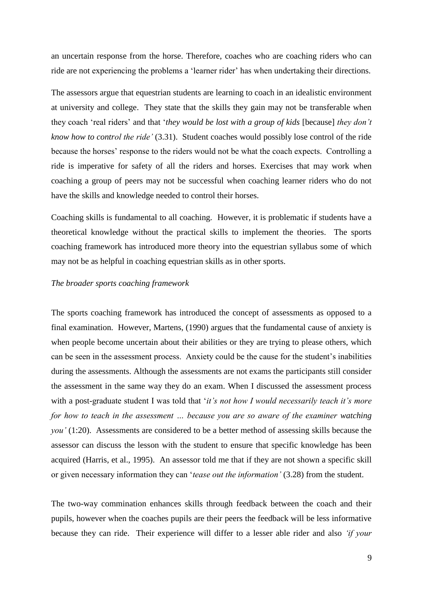an uncertain response from the horse. Therefore, coaches who are coaching riders who can ride are not experiencing the problems a 'learner rider' has when undertaking their directions.

The assessors argue that equestrian students are learning to coach in an idealistic environment at university and college. They state that the skills they gain may not be transferable when they coach 'real riders' and that '*they would be lost with a group of kids* [because] *they don't know how to control the ride'* (3.31). Student coaches would possibly lose control of the ride because the horses' response to the riders would not be what the coach expects. Controlling a ride is imperative for safety of all the riders and horses. Exercises that may work when coaching a group of peers may not be successful when coaching learner riders who do not have the skills and knowledge needed to control their horses.

Coaching skills is fundamental to all coaching. However, it is problematic if students have a theoretical knowledge without the practical skills to implement the theories. The sports coaching framework has introduced more theory into the equestrian syllabus some of which may not be as helpful in coaching equestrian skills as in other sports.

### *The broader sports coaching framework*

The sports coaching framework has introduced the concept of assessments as opposed to a final examination. However, Martens, (1990) argues that the fundamental cause of anxiety is when people become uncertain about their abilities or they are trying to please others, which can be seen in the assessment process. Anxiety could be the cause for the student's inabilities during the assessments. Although the assessments are not exams the participants still consider the assessment in the same way they do an exam. When I discussed the assessment process with a post-graduate student I was told that '*it's not how I would necessarily teach it's more for how to teach in the assessment … because you are so aware of the examiner watching you'* (1:20). Assessments are considered to be a better method of assessing skills because the assessor can discuss the lesson with the student to ensure that specific knowledge has been acquired (Harris, et al., 1995). An assessor told me that if they are not shown a specific skill or given necessary information they can '*tease out the information'* (3.28) from the student.

The two-way commination enhances skills through feedback between the coach and their pupils, however when the coaches pupils are their peers the feedback will be less informative because they can ride. Their experience will differ to a lesser able rider and also *'if your*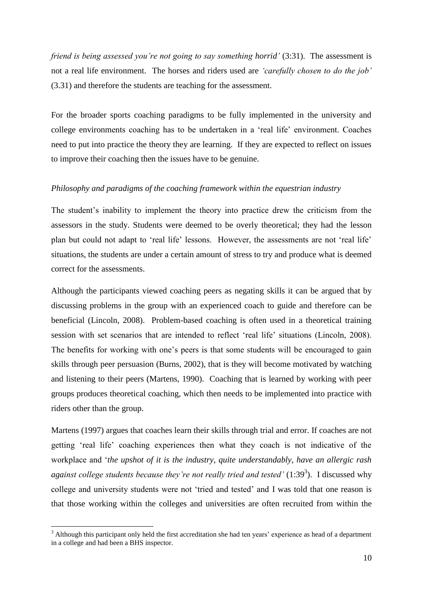*friend is being assessed you're not going to say something horrid'* (3:31). The assessment is not a real life environment. The horses and riders used are *'carefully chosen to do the job'* (3.31) and therefore the students are teaching for the assessment.

For the broader sports coaching paradigms to be fully implemented in the university and college environments coaching has to be undertaken in a 'real life' environment. Coaches need to put into practice the theory they are learning. If they are expected to reflect on issues to improve their coaching then the issues have to be genuine.

## *Philosophy and paradigms of the coaching framework within the equestrian industry*

The student's inability to implement the theory into practice drew the criticism from the assessors in the study. Students were deemed to be overly theoretical; they had the lesson plan but could not adapt to 'real life' lessons. However, the assessments are not 'real life' situations, the students are under a certain amount of stress to try and produce what is deemed correct for the assessments.

Although the participants viewed coaching peers as negating skills it can be argued that by discussing problems in the group with an experienced coach to guide and therefore can be beneficial (Lincoln, 2008). Problem-based coaching is often used in a theoretical training session with set scenarios that are intended to reflect 'real life' situations (Lincoln, 2008). The benefits for working with one's peers is that some students will be encouraged to gain skills through peer persuasion (Burns, 2002), that is they will become motivated by watching and listening to their peers (Martens, 1990). Coaching that is learned by working with peer groups produces theoretical coaching, which then needs to be implemented into practice with riders other than the group.

Martens (1997) argues that coaches learn their skills through trial and error. If coaches are not getting 'real life' coaching experiences then what they coach is not indicative of the workplace and '*the upshot of it is the industry, quite understandably, have an allergic rash*  against college students because they're not really tried and tested' (1:39<sup>3</sup>). I discussed why college and university students were not 'tried and tested' and I was told that one reason is that those working within the colleges and universities are often recruited from within the

1

 $3$  Although this participant only held the first accreditation she had ten years' experience as head of a department in a college and had been a BHS inspector.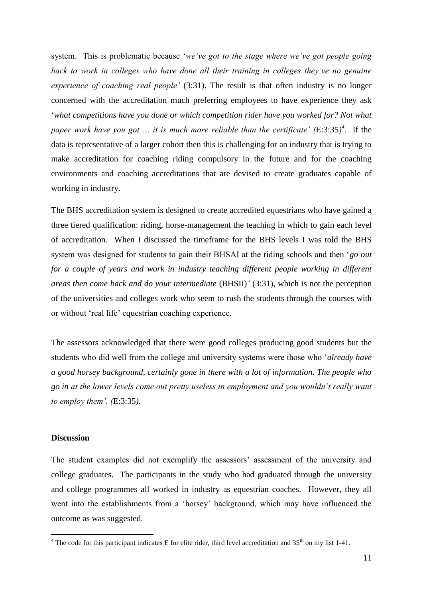system. This is problematic because '*we've got to the stage where we've got people going back to work in colleges who have done all their training in colleges they've no genuine experience of coaching real people'* (3:31). The result is that often industry is no longer concerned with the accreditation much preferring employees to have experience they ask '*what competitions have you done or which competition rider have you worked for? Not what paper work have you got … it is much more reliable than the certificate' (*E:3:35*) 4 .* If the data is representative of a larger cohort then this is challenging for an industry that is trying to make accreditation for coaching riding compulsory in the future and for the coaching environments and coaching accreditations that are devised to create graduates capable of working in industry.

The BHS accreditation system is designed to create accredited equestrians who have gained a three tiered qualification: riding, horse-management the teaching in which to gain each level of accreditation. When I discussed the timeframe for the BHS levels I was told the BHS system was designed for students to gain their BHSAI at the riding schools and then '*go out for a couple of years and work in industry teaching different people working in different areas then come back and do your intermediate* (BHSII)*'* (3:31), which is not the perception of the universities and colleges work who seem to rush the students through the courses with or without 'real life' equestrian coaching experience.

The assessors acknowledged that there were good colleges producing good students but the students who did well from the college and university systems were those who '*already have a good horsey background, certainly gone in there with a lot of information. The people who go in at the lower levels come out pretty useless in employment and you wouldn't really want to employ them'. (*E:3:35*).* 

#### **Discussion**

1

The student examples did not exemplify the assessors' assessment of the university and college graduates. The participants in the study who had graduated through the university and college programmes all worked in industry as equestrian coaches. However, they all went into the establishments from a 'horsey' background, which may have influenced the outcome as was suggested.

 $4$  The code for this participant indicates E for elite rider, third level accreditation and 35<sup>th</sup> on my list 1-41.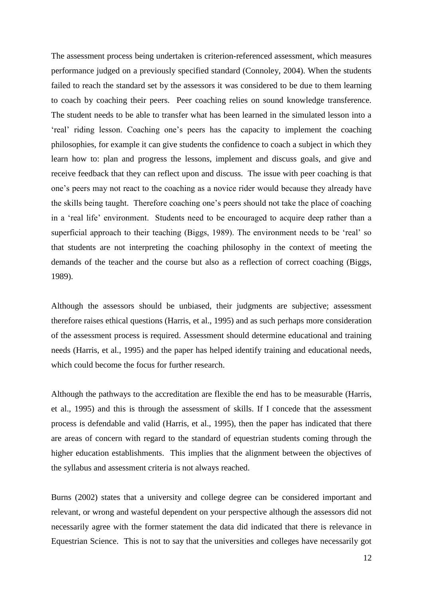The assessment process being undertaken is criterion-referenced assessment, which measures performance judged on a previously specified standard (Connoley, 2004). When the students failed to reach the standard set by the assessors it was considered to be due to them learning to coach by coaching their peers. Peer coaching relies on sound knowledge transference. The student needs to be able to transfer what has been learned in the simulated lesson into a 'real' riding lesson. Coaching one's peers has the capacity to implement the coaching philosophies, for example it can give students the confidence to coach a subject in which they learn how to: plan and progress the lessons, implement and discuss goals, and give and receive feedback that they can reflect upon and discuss. The issue with peer coaching is that one's peers may not react to the coaching as a novice rider would because they already have the skills being taught. Therefore coaching one's peers should not take the place of coaching in a 'real life' environment. Students need to be encouraged to acquire deep rather than a superficial approach to their teaching (Biggs, 1989). The environment needs to be 'real' so that students are not interpreting the coaching philosophy in the context of meeting the demands of the teacher and the course but also as a reflection of correct coaching (Biggs, 1989).

Although the assessors should be unbiased, their judgments are subjective; assessment therefore raises ethical questions (Harris, et al., 1995) and as such perhaps more consideration of the assessment process is required. Assessment should determine educational and training needs (Harris, et al., 1995) and the paper has helped identify training and educational needs, which could become the focus for further research.

Although the pathways to the accreditation are flexible the end has to be measurable (Harris, et al., 1995) and this is through the assessment of skills. If I concede that the assessment process is defendable and valid (Harris, et al., 1995), then the paper has indicated that there are areas of concern with regard to the standard of equestrian students coming through the higher education establishments. This implies that the alignment between the objectives of the syllabus and assessment criteria is not always reached.

Burns (2002) states that a university and college degree can be considered important and relevant, or wrong and wasteful dependent on your perspective although the assessors did not necessarily agree with the former statement the data did indicated that there is relevance in Equestrian Science. This is not to say that the universities and colleges have necessarily got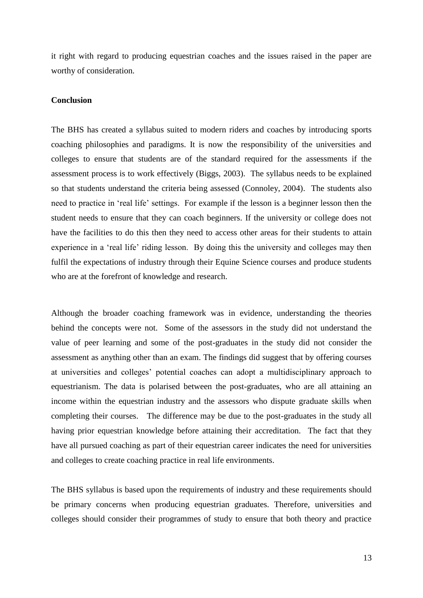it right with regard to producing equestrian coaches and the issues raised in the paper are worthy of consideration.

## **Conclusion**

The BHS has created a syllabus suited to modern riders and coaches by introducing sports coaching philosophies and paradigms. It is now the responsibility of the universities and colleges to ensure that students are of the standard required for the assessments if the assessment process is to work effectively (Biggs, 2003). The syllabus needs to be explained so that students understand the criteria being assessed (Connoley, 2004). The students also need to practice in 'real life' settings. For example if the lesson is a beginner lesson then the student needs to ensure that they can coach beginners. If the university or college does not have the facilities to do this then they need to access other areas for their students to attain experience in a 'real life' riding lesson. By doing this the university and colleges may then fulfil the expectations of industry through their Equine Science courses and produce students who are at the forefront of knowledge and research.

Although the broader coaching framework was in evidence, understanding the theories behind the concepts were not. Some of the assessors in the study did not understand the value of peer learning and some of the post-graduates in the study did not consider the assessment as anything other than an exam. The findings did suggest that by offering courses at universities and colleges' potential coaches can adopt a multidisciplinary approach to equestrianism. The data is polarised between the post-graduates, who are all attaining an income within the equestrian industry and the assessors who dispute graduate skills when completing their courses. The difference may be due to the post-graduates in the study all having prior equestrian knowledge before attaining their accreditation. The fact that they have all pursued coaching as part of their equestrian career indicates the need for universities and colleges to create coaching practice in real life environments.

The BHS syllabus is based upon the requirements of industry and these requirements should be primary concerns when producing equestrian graduates. Therefore, universities and colleges should consider their programmes of study to ensure that both theory and practice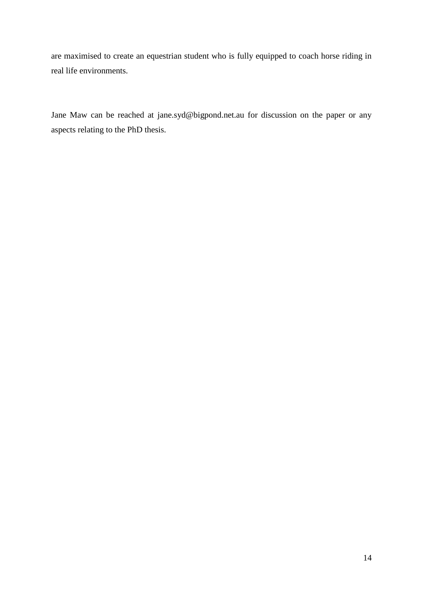are maximised to create an equestrian student who is fully equipped to coach horse riding in real life environments.

Jane Maw can be reached at [jane.syd@bigpond.net.au](mailto:jane.syd@bigpond.net.au) for discussion on the paper or any aspects relating to the PhD thesis.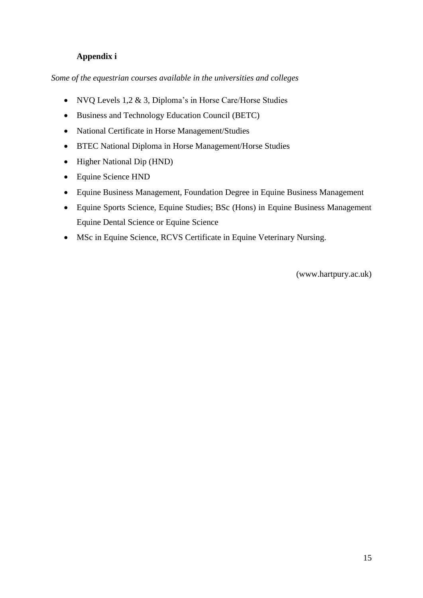## **Appendix i**

*Some of the equestrian courses available in the universities and colleges*

- NVQ Levels 1,2 & 3, Diploma's in Horse Care/Horse Studies
- Business and Technology Education Council (BETC)
- National Certificate in Horse Management/Studies
- BTEC National Diploma in Horse Management/Horse Studies
- Higher National Dip (HND)
- Equine Science HND
- Equine Business Management, Foundation Degree in Equine Business Management
- Equine Sports Science, Equine Studies; BSc (Hons) in Equine Business Management Equine Dental Science or Equine Science
- MSc in Equine Science, RCVS Certificate in Equine Veterinary Nursing.

(www.hartpury.ac.uk)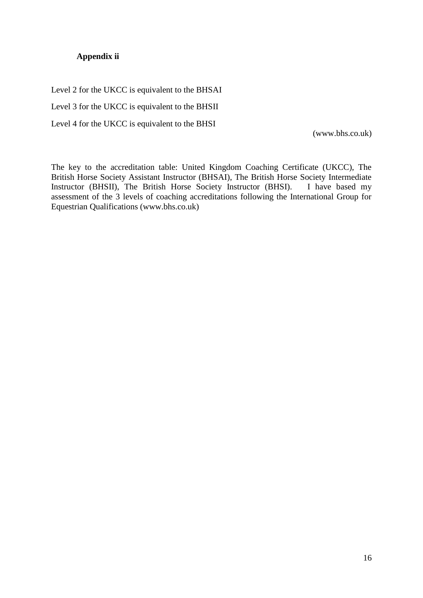## **Appendix ii**

Level 2 for the UKCC is equivalent to the BHSAI Level 3 for the UKCC is equivalent to the BHSII Level 4 for the UKCC is equivalent to the BHSI

[\(www.bhs.co.uk\)](http://www.bhs.co.uk/)

The key to the accreditation table: United Kingdom Coaching Certificate (UKCC), The British Horse Society Assistant Instructor (BHSAI), The British Horse Society Intermediate Instructor (BHSII), The British Horse Society Instructor (BHSI). I have based my assessment of the 3 levels of coaching accreditations following the International Group for Equestrian Qualifications [\(www.bhs.co.uk\)](http://www.bhs.co.uk/)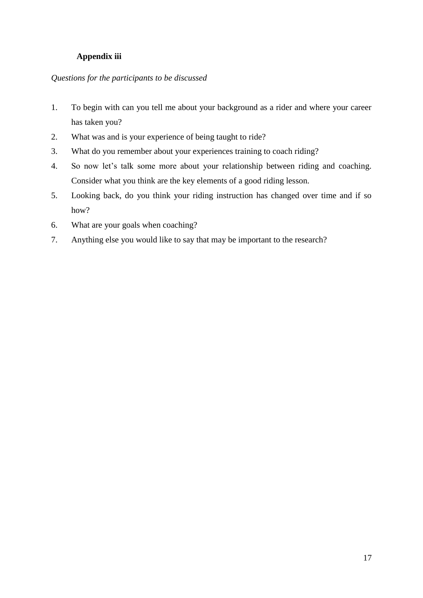## **Appendix iii**

## *Questions for the participants to be discussed*

- 1. To begin with can you tell me about your background as a rider and where your career has taken you?
- 2. What was and is your experience of being taught to ride?
- 3. What do you remember about your experiences training to coach riding?
- 4. So now let's talk some more about your relationship between riding and coaching. Consider what you think are the key elements of a good riding lesson.
- 5. Looking back, do you think your riding instruction has changed over time and if so how?
- 6. What are your goals when coaching?
- 7. Anything else you would like to say that may be important to the research?